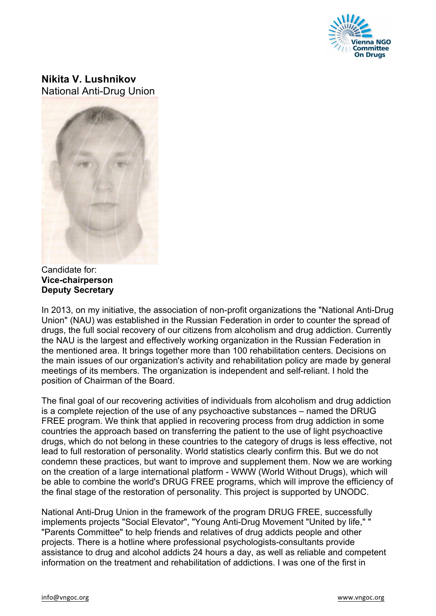

## **Nikita V. Lushnikov** National Anti-Drug Union

Candidate for: **Vice-chairperson Deputy Secretary**

In 2013, on my initiative, the association of non-profit organizations the "National Anti-Drug Union" (NAU) was established in the Russian Federation in order to counter the spread of drugs, the full social recovery of our citizens from alcoholism and drug addiction. Currently the NAU is the largest and effectively working organization in the Russian Federation in the mentioned area. It brings together more than 100 rehabilitation centers. Decisions on the main issues of our organization's activity and rehabilitation policy are made by general meetings of its members. The organization is independent and self-reliant. I hold the position of Chairman of the Board.

The final goal of our recovering activities of individuals from alcoholism and drug addiction is a complete rejection of the use of any psychoactive substances – named the DRUG FREE program. We think that applied in recovering process from drug addiction in some countries the approach based on transferring the patient to the use of light psychoactive drugs, which do not belong in these countries to the category of drugs is less effective, not lead to full restoration of personality. World statistics clearly confirm this. But we do not condemn these practices, but want to improve and supplement them. Now we are working on the creation of a large international platform - WWW (World Without Drugs), which will be able to combine the world's DRUG FREE programs, which will improve the efficiency of the final stage of the restoration of personality. This project is supported by UNODC.

National Anti-Drug Union in the framework of the program DRUG FREE, successfully implements projects "Social Elevator", "Young Anti-Drug Movement "United by life," " "Parents Committee" to help friends and relatives of drug addicts people and other projects. There is a hotline where professional psychologists-consultants provide assistance to drug and alcohol addicts 24 hours a day, as well as reliable and competent information on the treatment and rehabilitation of addictions. I was one of the first in